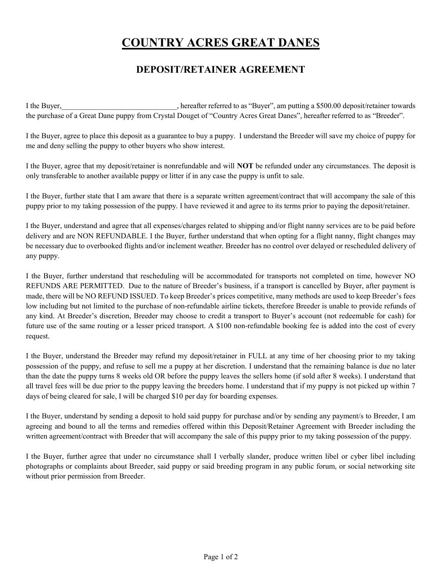## COUNTRY ACRES GREAT DANES

## DEPOSIT/RETAINER AGREEMENT

I the Buyer, hereafter referred to as "Buyer", am putting a \$500.00 deposit/retainer towards the purchase of a Great Dane puppy from Crystal Douget of "Country Acres Great Danes", hereafter referred to as "Breeder".

I the Buyer, agree to place this deposit as a guarantee to buy a puppy. I understand the Breeder will save my choice of puppy for me and deny selling the puppy to other buyers who show interest.

I the Buyer, agree that my deposit/retainer is nonrefundable and will NOT be refunded under any circumstances. The deposit is only transferable to another available puppy or litter if in any case the puppy is unfit to sale.

I the Buyer, further state that I am aware that there is a separate written agreement/contract that will accompany the sale of this puppy prior to my taking possession of the puppy. I have reviewed it and agree to its terms prior to paying the deposit/retainer.

I the Buyer, understand and agree that all expenses/charges related to shipping and/or flight nanny services are to be paid before delivery and are NON REFUNDABLE. I the Buyer, further understand that when opting for a flight nanny, flight changes may be necessary due to overbooked flights and/or inclement weather. Breeder has no control over delayed or rescheduled delivery of any puppy.

I the Buyer, further understand that rescheduling will be accommodated for transports not completed on time, however NO REFUNDS ARE PERMITTED. Due to the nature of Breeder's business, if a transport is cancelled by Buyer, after payment is made, there will be NO REFUND ISSUED. To keep Breeder's prices competitive, many methods are used to keep Breeder's fees low including but not limited to the purchase of non-refundable airline tickets, therefore Breeder is unable to provide refunds of any kind. At Breeder's discretion, Breeder may choose to credit a transport to Buyer's account (not redeemable for cash) for future use of the same routing or a lesser priced transport. A \$100 non-refundable booking fee is added into the cost of every request.

I the Buyer, understand the Breeder may refund my deposit/retainer in FULL at any time of her choosing prior to my taking possession of the puppy, and refuse to sell me a puppy at her discretion. I understand that the remaining balance is due no later than the date the puppy turns 8 weeks old OR before the puppy leaves the sellers home (if sold after 8 weeks). I understand that all travel fees will be due prior to the puppy leaving the breeders home. I understand that if my puppy is not picked up within 7 days of being cleared for sale, I will be charged \$10 per day for boarding expenses.

I the Buyer, understand by sending a deposit to hold said puppy for purchase and/or by sending any payment/s to Breeder, I am agreeing and bound to all the terms and remedies offered within this Deposit/Retainer Agreement with Breeder including the written agreement/contract with Breeder that will accompany the sale of this puppy prior to my taking possession of the puppy.

I the Buyer, further agree that under no circumstance shall I verbally slander, produce written libel or cyber libel including photographs or complaints about Breeder, said puppy or said breeding program in any public forum, or social networking site without prior permission from Breeder.